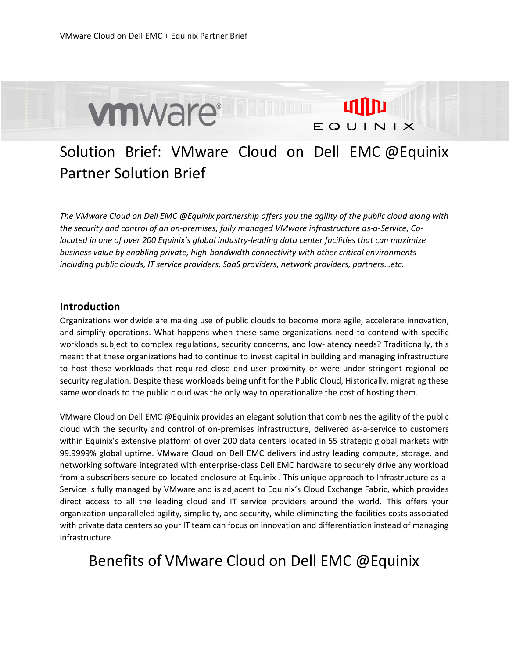

## Solution Brief: VMware Cloud on Dell EMC @Equinix Partner Solution Brief

*The VMware Cloud on Dell EMC @Equinix partnership offers you the agility of the public cloud along with the security and control of an on-premises, fully managed VMware infrastructure as-a-Service, Colocated in one of over 200 Equinix's global industry-leading data center facilities that can maximize business value by enabling private, high-bandwidth connectivity with other critical environments including public clouds, IT service providers, SaaS providers, network providers, partners…etc.* 

## **Introduction**

Organizations worldwide are making use of public clouds to become more agile, accelerate innovation, and simplify operations. What happens when these same organizations need to contend with specific workloads subject to complex regulations, security concerns, and low-latency needs? Traditionally, this meant that these organizations had to continue to invest capital in building and managing infrastructure to host these workloads that required close end-user proximity or were under stringent regional oe security regulation. Despite these workloads being unfit for the Public Cloud, Historically, migrating these same workloads to the public cloud was the only way to operationalize the cost of hosting them.

VMware Cloud on Dell EMC @Equinix provides an elegant solution that combines the agility of the public cloud with the security and control of on-premises infrastructure, delivered as-a-service to customers within Equinix's extensive platform of over 200 data centers located in 55 strategic global markets with 99.9999% global uptime. VMware Cloud on Dell EMC delivers industry leading compute, storage, and networking software integrated with enterprise-class Dell EMC hardware to securely drive any workload from a subscribers secure co-located enclosure at Equinix . This unique approach to Infrastructure as-a-Service is fully managed by VMware and is adjacent to Equinix's Cloud Exchange Fabric, which provides direct access to all the leading cloud and IT service providers around the world. This offers your organization unparalleled agility, simplicity, and security, while eliminating the facilities costs associated with private data centers so your IT team can focus on innovation and differentiation instead of managing infrastructure.

## Benefits of VMware Cloud on Dell EMC @Equinix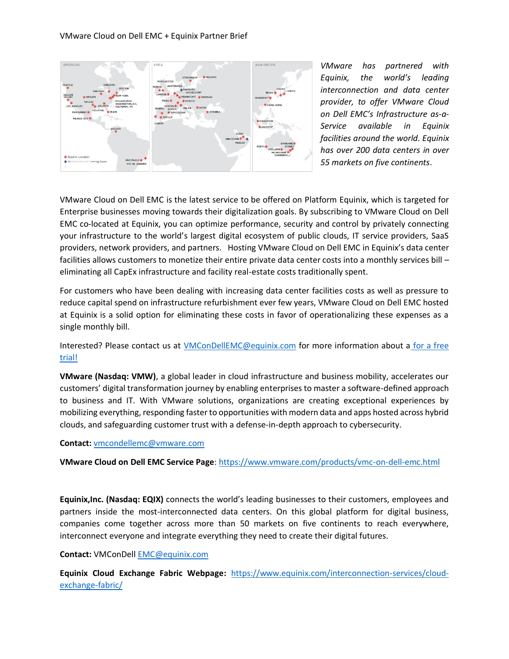

*VMware has partnered with Equinix, the world's leading interconnection and data center provider, to offer VMware Cloud on Dell EMC's Infrastructure as-a-Service available in Equinix facilities around the world. Equinix has over 200 data centers in over 55 markets on five continents*.

VMware Cloud on Dell EMC is the latest service to be offered on Platform Equinix, which is targeted for Enterprise businesses moving towards their digitalization goals. By subscribing to VMware Cloud on Dell EMC co-located at Equinix, you can optimize performance, security and control by privately connecting your infrastructure to the world's largest digital ecosystem of public clouds, IT service providers, SaaS providers, network providers, and partners. Hosting VMware Cloud on Dell EMC in Equinix's data center facilities allows customers to monetize their entire private data center costs into a monthly services bill – eliminating all CapEx infrastructure and facility real-estate costs traditionally spent.

For customers who have been dealing with increasing data center facilities costs as well as pressure to reduce capital spend on infrastructure refurbishment ever few years, VMware Cloud on Dell EMC hosted at Equinix is a solid option for eliminating these costs in favor of operationalizing these expenses as a single monthly bill.

Interested? Please contact us at [VMConDellEMC@equinix.com](mailto:VMConDellEMC@equinix.com) for more information about a [for a free](https://info.equinix.com/VMConDellEMC_Reg_LP.html)  [trial!](https://info.equinix.com/VMConDellEMC_Reg_LP.html)

**VMware (Nasdaq: VMW)**, a global leader in cloud infrastructure and business mobility, accelerates our customers' digital transformation journey by enabling enterprises to master a software-defined approach to business and IT. With VMware solutions, organizations are creating exceptional experiences by mobilizing everything, responding faster to opportunities with modern data and apps hosted across hybrid clouds, and safeguarding customer trust with a defense-in-depth approach to cybersecurity.

**Contact:** [vmcondellemc@vmware.com](mailto:vmcondellemc@vmware.com)

**VMware Cloud on Dell EMC Service Page**:<https://www.vmware.com/products/vmc-on-dell-emc.html>

**Equinix,Inc. (Nasdaq: EQIX)** connects the world's leading businesses to their customers, employees and partners inside the most-interconnected data centers. On this global platform for digital business, companies come together across more than 50 markets on five continents to reach everywhere, interconnect everyone and integrate everything they need to create their digital futures.

## **Contact:** VMConDel[l EMC@equinix.com](mailto:EMC@equinix.com)

**Equinix Cloud Exchange Fabric Webpage:** [https://www.equinix.com/interconnection-services/cloud](https://www.equinix.com/interconnection-services/cloud-exchange-fabric/)[exchange-fabric/](https://www.equinix.com/interconnection-services/cloud-exchange-fabric/)